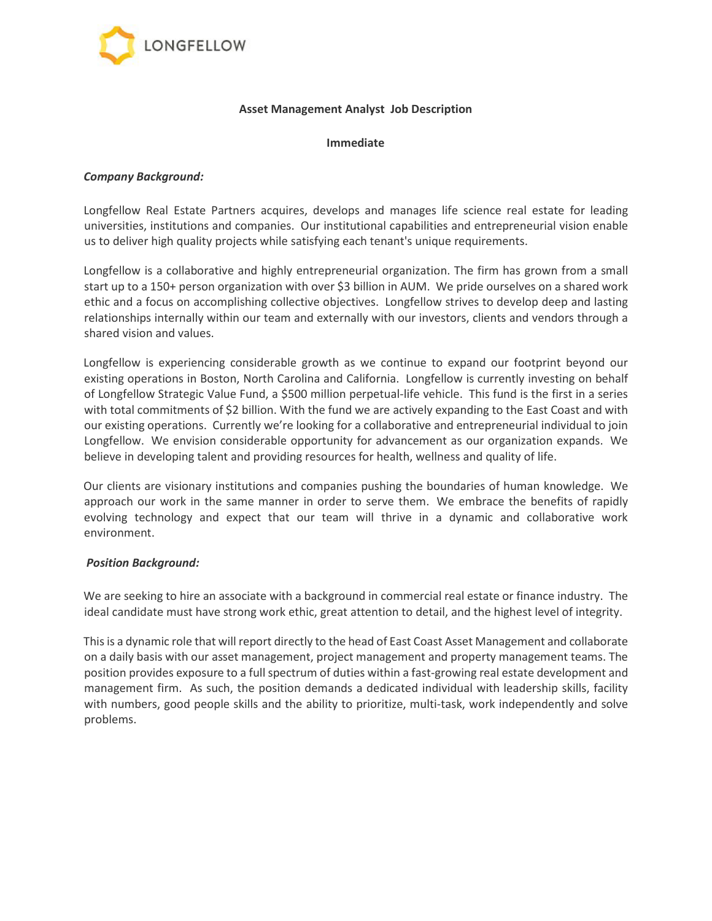

### **Asset Management Analyst Job Description**

#### **Immediate**

### *Company Background:*

Longfellow Real Estate Partners acquires, develops and manages life science real estate for leading universities, institutions and companies. Our institutional capabilities and entrepreneurial vision enable us to deliver high quality projects while satisfying each tenant's unique requirements.

Longfellow is a collaborative and highly entrepreneurial organization. The firm has grown from a small start up to a 150+ person organization with over \$3 billion in AUM. We pride ourselves on a shared work ethic and a focus on accomplishing collective objectives. Longfellow strives to develop deep and lasting relationships internally within our team and externally with our investors, clients and vendors through a shared vision and values.

Longfellow is experiencing considerable growth as we continue to expand our footprint beyond our existing operations in Boston, North Carolina and California. Longfellow is currently investing on behalf of Longfellow Strategic Value Fund, a \$500 million perpetual-life vehicle. This fund is the first in a series with total commitments of \$2 billion. With the fund we are actively expanding to the East Coast and with our existing operations. Currently we're looking for a collaborative and entrepreneurial individual to join Longfellow. We envision considerable opportunity for advancement as our organization expands. We believe in developing talent and providing resources for health, wellness and quality of life.

Our clients are visionary institutions and companies pushing the boundaries of human knowledge. We approach our work in the same manner in order to serve them. We embrace the benefits of rapidly evolving technology and expect that our team will thrive in a dynamic and collaborative work environment.

## *Position Background:*

We are seeking to hire an associate with a background in commercial real estate or finance industry. The ideal candidate must have strong work ethic, great attention to detail, and the highest level of integrity.

This is a dynamic role that will report directly to the head of East Coast Asset Management and collaborate on a daily basis with our asset management, project management and property management teams. The position provides exposure to a full spectrum of duties within a fast-growing real estate development and management firm. As such, the position demands a dedicated individual with leadership skills, facility with numbers, good people skills and the ability to prioritize, multi-task, work independently and solve problems.